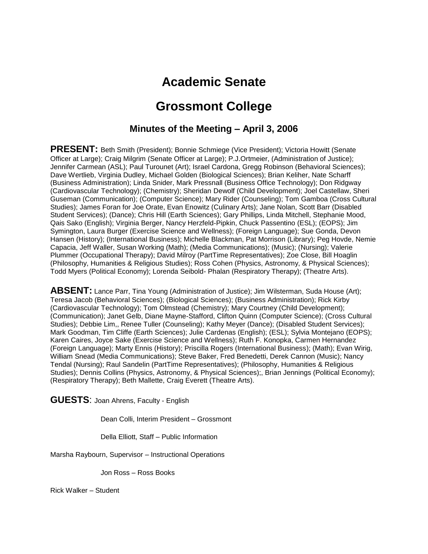# **Academic Senate**

# **Grossmont College**

## **Minutes of the Meeting – April 3, 2006**

**PRESENT:** Beth Smith (President); Bonnie Schmiege (Vice President); Victoria Howitt (Senate Officer at Large); Craig Milgrim (Senate Officer at Large); P.J.Ortmeier, (Administration of Justice); Jennifer Carmean (ASL); Paul Turounet (Art); Israel Cardona, Gregg Robinson (Behavioral Sciences); Dave Wertlieb, Virginia Dudley, Michael Golden (Biological Sciences); Brian Keliher, Nate Scharff (Business Administration); Linda Snider, Mark Pressnall (Business Office Technology); Don Ridgway (Cardiovascular Technology); (Chemistry); Sheridan Dewolf (Child Development); Joel Castellaw, Sheri Guseman (Communication); (Computer Science); Mary Rider (Counseling); Tom Gamboa (Cross Cultural Studies); James Foran for Joe Orate, Evan Enowitz (Culinary Arts); Jane Nolan, Scott Barr (Disabled Student Services); (Dance); Chris Hill (Earth Sciences); Gary Phillips, Linda Mitchell, Stephanie Mood, Qais Sako (English); Virginia Berger, Nancy Herzfeld-Pipkin, Chuck Passentino (ESL); (EOPS); Jim Symington, Laura Burger (Exercise Science and Wellness); (Foreign Language); Sue Gonda, Devon Hansen (History); (International Business); Michelle Blackman, Pat Morrison (Library); Peg Hovde, Nemie Capacia, Jeff Waller, Susan Working (Math); (Media Communications); (Music); (Nursing); Valerie Plummer (Occupational Therapy); David Milroy (PartTime Representatives); Zoe Close, Bill Hoaglin (Philosophy, Humanities & Religious Studies); Ross Cohen (Physics, Astronomy, & Physical Sciences); Todd Myers (Political Economy); Lorenda Seibold- Phalan (Respiratory Therapy); (Theatre Arts).

**ABSENT:** Lance Parr, Tina Young (Administration of Justice); Jim Wilsterman, Suda House (Art); Teresa Jacob (Behavioral Sciences); (Biological Sciences); (Business Administration); Rick Kirby (Cardiovascular Technology); Tom Olmstead (Chemistry); Mary Courtney (Child Development); (Communication); Janet Gelb, Diane Mayne-Stafford, Clifton Quinn (Computer Science); (Cross Cultural Studies); Debbie Lim,, Renee Tuller (Counseling); Kathy Meyer (Dance); (Disabled Student Services); Mark Goodman, Tim Cliffe (Earth Sciences); Julie Cardenas (English); (ESL); Sylvia Montejano (EOPS); Karen Caires, Joyce Sake (Exercise Science and Wellness); Ruth F. Konopka, Carmen Hernandez (Foreign Language); Marty Ennis (History); Priscilla Rogers (International Business); (Math); Evan Wirig, William Snead (Media Communications); Steve Baker, Fred Benedetti, Derek Cannon (Music); Nancy Tendal (Nursing); Raul Sandelin (PartTime Representatives); (Philosophy, Humanities & Religious Studies); Dennis Collins (Physics, Astronomy, & Physical Sciences);, Brian Jennings (Political Economy); (Respiratory Therapy); Beth Mallette, Craig Everett (Theatre Arts).

**GUESTS**: Joan Ahrens, Faculty - English

Dean Colli, Interim President – Grossmont

Della Elliott, Staff – Public Information

Marsha Raybourn, Supervisor – Instructional Operations

Jon Ross – Ross Books

Rick Walker – Student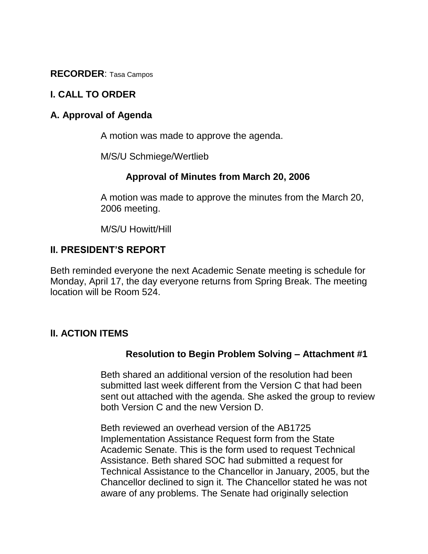**RECORDER**: Tasa Campos

## **I. CALL TO ORDER**

## **A. Approval of Agenda**

A motion was made to approve the agenda.

M/S/U Schmiege/Wertlieb

#### **Approval of Minutes from March 20, 2006**

A motion was made to approve the minutes from the March 20, 2006 meeting.

M/S/U Howitt/Hill

## **II. PRESIDENT'S REPORT**

Beth reminded everyone the next Academic Senate meeting is schedule for Monday, April 17, the day everyone returns from Spring Break. The meeting location will be Room 524.

#### **lI. ACTION ITEMS**

#### **Resolution to Begin Problem Solving – Attachment #1**

Beth shared an additional version of the resolution had been submitted last week different from the Version C that had been sent out attached with the agenda. She asked the group to review both Version C and the new Version D.

Beth reviewed an overhead version of the AB1725 Implementation Assistance Request form from the State Academic Senate. This is the form used to request Technical Assistance. Beth shared SOC had submitted a request for Technical Assistance to the Chancellor in January, 2005, but the Chancellor declined to sign it. The Chancellor stated he was not aware of any problems. The Senate had originally selection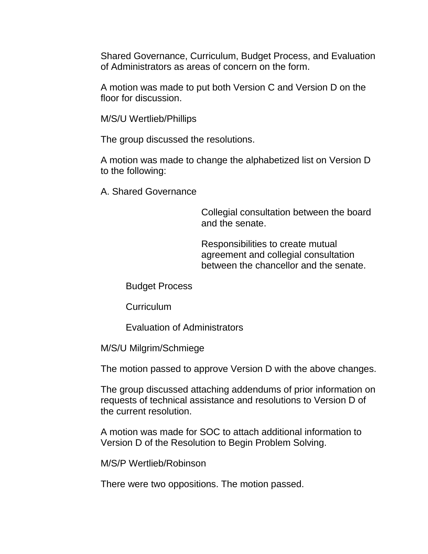Shared Governance, Curriculum, Budget Process, and Evaluation of Administrators as areas of concern on the form.

A motion was made to put both Version C and Version D on the floor for discussion.

M/S/U Wertlieb/Phillips

The group discussed the resolutions.

A motion was made to change the alphabetized list on Version D to the following:

A. Shared Governance

Collegial consultation between the board and the senate.

Responsibilities to create mutual agreement and collegial consultation between the chancellor and the senate.

Budget Process

**Curriculum** 

Evaluation of Administrators

M/S/U Milgrim/Schmiege

The motion passed to approve Version D with the above changes.

The group discussed attaching addendums of prior information on requests of technical assistance and resolutions to Version D of the current resolution.

A motion was made for SOC to attach additional information to Version D of the Resolution to Begin Problem Solving.

M/S/P Wertlieb/Robinson

There were two oppositions. The motion passed.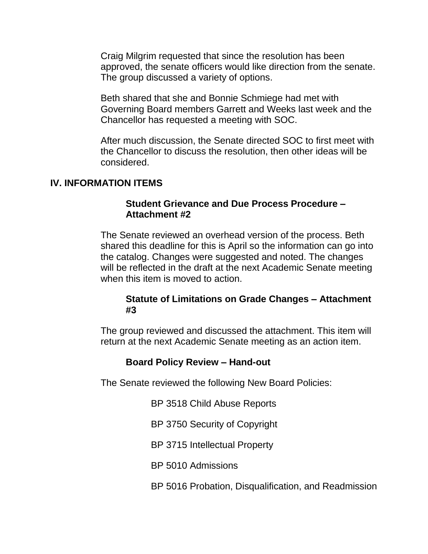Craig Milgrim requested that since the resolution has been approved, the senate officers would like direction from the senate. The group discussed a variety of options.

Beth shared that she and Bonnie Schmiege had met with Governing Board members Garrett and Weeks last week and the Chancellor has requested a meeting with SOC.

After much discussion, the Senate directed SOC to first meet with the Chancellor to discuss the resolution, then other ideas will be considered.

#### **IV. INFORMATION ITEMS**

#### **Student Grievance and Due Process Procedure – Attachment #2**

The Senate reviewed an overhead version of the process. Beth shared this deadline for this is April so the information can go into the catalog. Changes were suggested and noted. The changes will be reflected in the draft at the next Academic Senate meeting when this item is moved to action.

#### **Statute of Limitations on Grade Changes – Attachment #3**

The group reviewed and discussed the attachment. This item will return at the next Academic Senate meeting as an action item.

#### **Board Policy Review – Hand-out**

The Senate reviewed the following New Board Policies:

BP 3518 Child Abuse Reports

BP 3750 Security of Copyright

BP 3715 Intellectual Property

BP 5010 Admissions

BP 5016 Probation, Disqualification, and Readmission